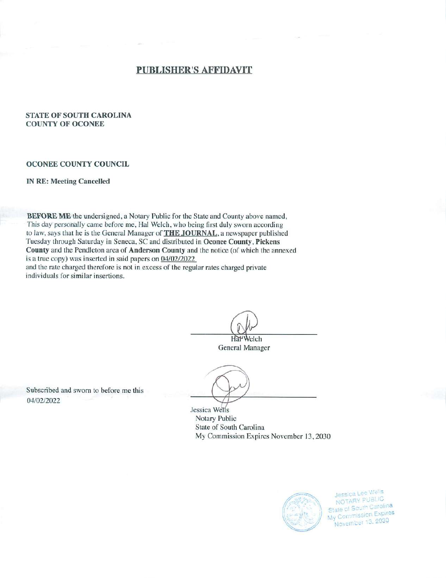# PUBLISHER'S AFFIDAVIT

# *STATE OF SOUTH CAROLINA COUNTY OF OCONEE*

## *OCONEE COUNTY COUNCIL*

## *IN RE: Meeting Cancelled*

*BEFORE ME* the undersigned, a Notary Public for the State and County above named. **This** day personally came before me, Hal Welch, who being first duly sworn according to law, says that he is the General Manager of *THE JOURNAL,* a newspaper published Tuesday through Saturday in Seneca, SC and distributed in *Oconee County, Pickens County* and the Pendleton area of *Anderson County* and the notice (of which the annexed is a true copy) was inserted in said papers on 04/02/2022 and the rate charged therefore is not in excess of the regular rates charged private individuals for similar insertions.

Hal Welch

General Manager

Subscribed and sworn to before me this 04/02/2022

> Jessica Wells Notary Public State of South Carolina My Commission Expires November 13, 2030



Jessica Lee Wells<br>NOTARY PUBLIC **State of South Carolina**<br>My Commission Expires November 13, 2030